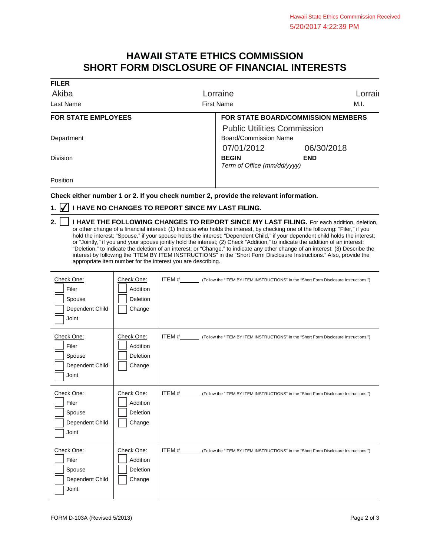## **HAWAII STATE ETHICS COMMISSION SHORT FORM DISCLOSURE OF FINANCIAL INTERESTS**

| <b>FILER</b>               |                                             |            |         |
|----------------------------|---------------------------------------------|------------|---------|
| Akiba                      | Lorraine                                    |            | Lorrair |
| Last Name                  | <b>First Name</b>                           |            | M.I.    |
| <b>FOR STATE EMPLOYEES</b> | <b>FOR STATE BOARD/COMMISSION MEMBERS</b>   |            |         |
|                            | <b>Public Utilities Commission</b>          |            |         |
| Department                 | Board/Commission Name                       |            |         |
|                            | 07/01/2012                                  | 06/30/2018 |         |
| <b>Division</b>            | <b>BEGIN</b><br>Term of Office (mm/dd/yyyy) | <b>END</b> |         |
| Position                   |                                             |            |         |

**Check either number 1 or 2. If you check number 2, provide the relevant information.**

## **1. ⊘ I HAVE NO CHANGES TO REPORT SINCE MY LAST FILING.**

 $\top$ 

┬

| 2.     I HAVE THE FOLLOWING CHANGES TO REPORT SINCE MY LAST FILING. For each addition, deletion,                                |
|---------------------------------------------------------------------------------------------------------------------------------|
| or other change of a financial interest: (1) Indicate who holds the interest, by checking one of the following: "Filer," if you |
| hold the interest; "Spouse," if your spouse holds the interest; "Dependent Child," if your dependent child holds the interest;  |
| or "Jointly," if you and your spouse jointly hold the interest; (2) Check "Addition," to indicate the addition of an interest;  |
| "Deletion," to indicate the deletion of an interest; or "Change," to indicate any other change of an interest; (3) Describe the |
| interest by following the "ITEM BY ITEM INSTRUCTIONS" in the "Short Form Disclosure Instructions." Also, provide the            |
| appropriate item number for the interest you are describing.                                                                    |

| Check One:<br>Filer<br>Spouse<br>Dependent Child<br>Joint | Check One:<br>Addition<br>Deletion<br>Change | ITEM #___________ (Follow the "ITEM BY ITEM INSTRUCTIONS" in the "Short Form Disclosure Instructions.") |  |
|-----------------------------------------------------------|----------------------------------------------|---------------------------------------------------------------------------------------------------------|--|
| Check One:<br>Filer<br>Spouse<br>Dependent Child<br>Joint | Check One:<br>Addition<br>Deletion<br>Change | ITEM #___________ (Follow the "ITEM BY ITEM INSTRUCTIONS" in the "Short Form Disclosure Instructions.") |  |
|                                                           |                                              |                                                                                                         |  |
| Check One:<br>Filer<br>Spouse<br>Dependent Child<br>Joint | Check One:<br>Addition<br>Deletion<br>Change | ITEM #__________ (Follow the "ITEM BY ITEM INSTRUCTIONS" in the "Short Form Disclosure Instructions.")  |  |